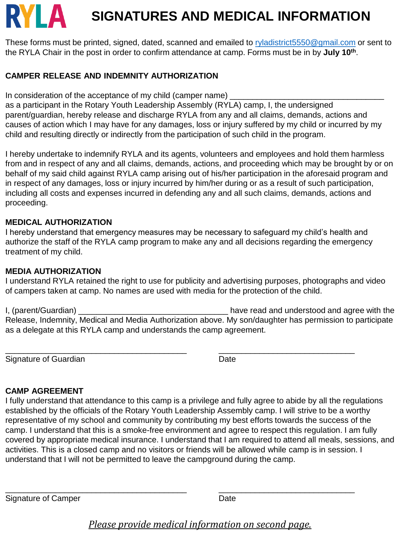# RYLA **SIGNATURES AND MEDICAL INFORMATION**

These forms must be printed, signed, dated, scanned and emailed to [ryladistrict5550@gmail.com](mailto:ryladistrict5550@gmail.com) or sent to the RYLA Chair in the post in order to confirm attendance at camp. Forms must be in by **July 10th** .

#### **CAMPER RELEASE AND INDEMNITY AUTHORIZATION**

In consideration of the acceptance of my child (camper name)

as a participant in the Rotary Youth Leadership Assembly (RYLA) camp, I, the undersigned parent/guardian, hereby release and discharge RYLA from any and all claims, demands, actions and causes of action which I may have for any damages, loss or injury suffered by my child or incurred by my child and resulting directly or indirectly from the participation of such child in the program.

I hereby undertake to indemnify RYLA and its agents, volunteers and employees and hold them harmless from and in respect of any and all claims, demands, actions, and proceeding which may be brought by or on behalf of my said child against RYLA camp arising out of his/her participation in the aforesaid program and in respect of any damages, loss or injury incurred by him/her during or as a result of such participation, including all costs and expenses incurred in defending any and all such claims, demands, actions and proceeding.

#### **MEDICAL AUTHORIZATION**

I hereby understand that emergency measures may be necessary to safeguard my child's health and authorize the staff of the RYLA camp program to make any and all decisions regarding the emergency treatment of my child.

#### **MEDIA AUTHORIZATION**

I understand RYLA retained the right to use for publicity and advertising purposes, photographs and video of campers taken at camp. No names are used with media for the protection of the child.

I, (parent/Guardian) **Example 2** and increase the second and understood and agree with the Release, Indemnity, Medical and Media Authorization above. My son/daughter has permission to participate as a delegate at this RYLA camp and understands the camp agreement.

\_\_\_\_\_\_\_\_\_\_\_\_\_\_\_\_\_\_\_\_\_\_\_\_\_\_\_\_\_\_\_\_\_\_\_\_\_\_\_\_ \_\_\_\_\_\_\_\_\_\_\_\_\_\_\_\_\_\_\_\_\_\_\_\_\_\_\_\_\_\_

Signature of Guardian **Date** Date

#### **CAMP AGREEMENT**

I fully understand that attendance to this camp is a privilege and fully agree to abide by all the regulations established by the officials of the Rotary Youth Leadership Assembly camp. I will strive to be a worthy representative of my school and community by contributing my best efforts towards the success of the camp. I understand that this is a smoke-free environment and agree to respect this regulation. I am fully covered by appropriate medical insurance. I understand that I am required to attend all meals, sessions, and activities. This is a closed camp and no visitors or friends will be allowed while camp is in session. I understand that I will not be permitted to leave the campground during the camp.

Signature of Camper Date Date Date

## *Please provide medical information on second page.*

\_\_\_\_\_\_\_\_\_\_\_\_\_\_\_\_\_\_\_\_\_\_\_\_\_\_\_\_\_\_\_\_\_\_\_\_\_\_\_\_ \_\_\_\_\_\_\_\_\_\_\_\_\_\_\_\_\_\_\_\_\_\_\_\_\_\_\_\_\_\_